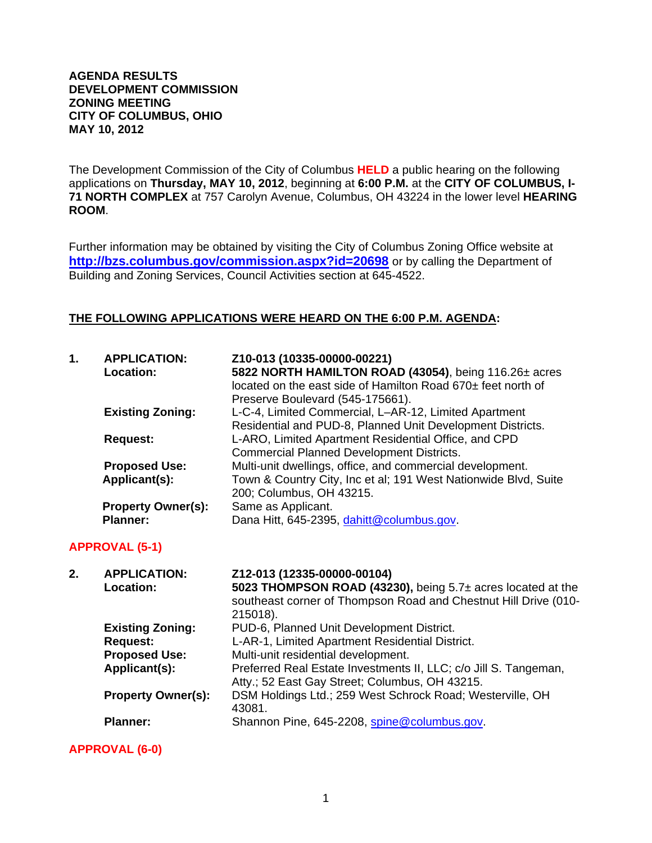#### **AGENDA RESULTS DEVELOPMENT COMMISSION ZONING MEETING CITY OF COLUMBUS, OHIO MAY 10, 2012**

The Development Commission of the City of Columbus **HELD** a public hearing on the following applications on **Thursday, MAY 10, 2012**, beginning at **6:00 P.M.** at the **CITY OF COLUMBUS, I-71 NORTH COMPLEX** at 757 Carolyn Avenue, Columbus, OH 43224 in the lower level **HEARING ROOM**.

Further information may be obtained by visiting the City of Columbus Zoning Office website at **http://bzs.columbus.gov/commission.aspx?id=20698** or by calling the Department of Building and Zoning Services, Council Activities section at 645-4522.

### **THE FOLLOWING APPLICATIONS WERE HEARD ON THE 6:00 P.M. AGENDA:**

| 1. | <b>APPLICATION:</b><br>Location:             | Z10-013 (10335-00000-00221)<br>5822 NORTH HAMILTON ROAD (43054), being 116.26± acres<br>located on the east side of Hamilton Road 670± feet north of<br>Preserve Boulevard (545-175661). |
|----|----------------------------------------------|------------------------------------------------------------------------------------------------------------------------------------------------------------------------------------------|
|    | <b>Existing Zoning:</b>                      | L-C-4, Limited Commercial, L-AR-12, Limited Apartment<br>Residential and PUD-8, Planned Unit Development Districts.                                                                      |
|    | <b>Request:</b>                              | L-ARO, Limited Apartment Residential Office, and CPD<br><b>Commercial Planned Development Districts.</b>                                                                                 |
|    | <b>Proposed Use:</b>                         | Multi-unit dwellings, office, and commercial development.                                                                                                                                |
|    | Applicant(s):                                | Town & Country City, Inc et al; 191 West Nationwide Blvd, Suite<br>200; Columbus, OH 43215.                                                                                              |
|    | <b>Property Owner(s):</b><br><b>Planner:</b> | Same as Applicant.<br>Dana Hitt, 645-2395, dahitt@columbus.gov.                                                                                                                          |

### **APPROVAL (5-1)**

| 2. | <b>APPLICATION:</b>       | Z12-013 (12335-00000-00104)                                      |
|----|---------------------------|------------------------------------------------------------------|
|    | <b>Location:</b>          | 5023 THOMPSON ROAD (43230), being 5.7± acres located at the      |
|    |                           | southeast corner of Thompson Road and Chestnut Hill Drive (010-  |
|    |                           | 215018).                                                         |
|    | <b>Existing Zoning:</b>   | PUD-6, Planned Unit Development District.                        |
|    | <b>Request:</b>           | L-AR-1, Limited Apartment Residential District.                  |
|    | <b>Proposed Use:</b>      | Multi-unit residential development.                              |
|    | Applicant(s):             | Preferred Real Estate Investments II, LLC; c/o Jill S. Tangeman, |
|    |                           | Atty.; 52 East Gay Street; Columbus, OH 43215.                   |
|    | <b>Property Owner(s):</b> | DSM Holdings Ltd.; 259 West Schrock Road; Westerville, OH        |
|    |                           | 43081.                                                           |
|    | <b>Planner:</b>           | Shannon Pine, 645-2208, spine@columbus.gov.                      |
|    |                           |                                                                  |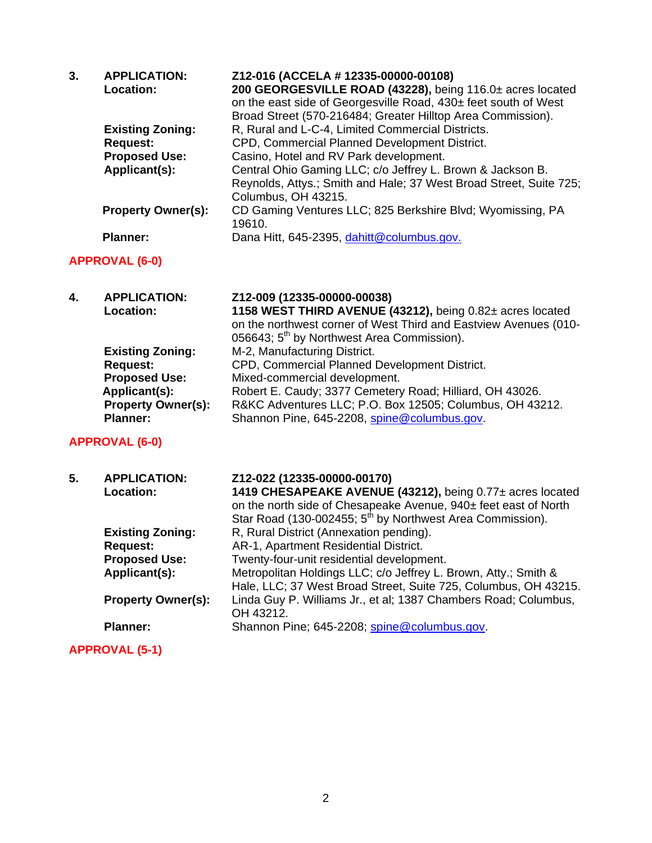| 3. | <b>APPLICATION:</b><br>Location: | Z12-016 (ACCELA # 12335-00000-00108)<br>200 GEORGESVILLE ROAD (43228), being 116.0± acres located<br>on the east side of Georgesville Road, 430± feet south of West<br>Broad Street (570-216484; Greater Hilltop Area Commission). |
|----|----------------------------------|------------------------------------------------------------------------------------------------------------------------------------------------------------------------------------------------------------------------------------|
|    | <b>Existing Zoning:</b>          | R, Rural and L-C-4, Limited Commercial Districts.                                                                                                                                                                                  |
|    | <b>Request:</b>                  | CPD, Commercial Planned Development District.                                                                                                                                                                                      |
|    | <b>Proposed Use:</b>             | Casino, Hotel and RV Park development.                                                                                                                                                                                             |
|    | Applicant(s):                    | Central Ohio Gaming LLC; c/o Jeffrey L. Brown & Jackson B.<br>Reynolds, Attys.; Smith and Hale; 37 West Broad Street, Suite 725;<br>Columbus, OH 43215.                                                                            |
|    | <b>Property Owner(s):</b>        | CD Gaming Ventures LLC; 825 Berkshire Blvd; Wyomissing, PA<br>19610.                                                                                                                                                               |
|    | <b>Planner:</b>                  | Dana Hitt, 645-2395, dahitt@columbus.gov.                                                                                                                                                                                          |

# **APPROVAL (6-0)**

| 4. | <b>APPLICATION:</b>       | Z12-009 (12335-00000-00038)                                      |
|----|---------------------------|------------------------------------------------------------------|
|    | Location:                 | 1158 WEST THIRD AVENUE (43212), being 0.82± acres located        |
|    |                           | on the northwest corner of West Third and Eastview Avenues (010- |
|    |                           | 056643; 5 <sup>th</sup> by Northwest Area Commission).           |
|    | <b>Existing Zoning:</b>   | M-2, Manufacturing District.                                     |
|    | <b>Request:</b>           | CPD, Commercial Planned Development District.                    |
|    | <b>Proposed Use:</b>      | Mixed-commercial development.                                    |
|    | Applicant(s):             | Robert E. Caudy; 3377 Cemetery Road; Hilliard, OH 43026.         |
|    | <b>Property Owner(s):</b> | R&KC Adventures LLC; P.O. Box 12505; Columbus, OH 43212.         |
|    | <b>Planner:</b>           | Shannon Pine, 645-2208, spine@columbus.gov.                      |

| 5. | <b>APPLICATION:</b><br><b>Location:</b> | Z12-022 (12335-00000-00170)<br>1419 CHESAPEAKE AVENUE (43212), being 0.77± acres located<br>on the north side of Chesapeake Avenue, 940± feet east of North<br>Star Road (130-002455; 5 <sup>th</sup> by Northwest Area Commission). |
|----|-----------------------------------------|--------------------------------------------------------------------------------------------------------------------------------------------------------------------------------------------------------------------------------------|
|    | <b>Existing Zoning:</b>                 | R, Rural District (Annexation pending).                                                                                                                                                                                              |
|    | <b>Request:</b>                         | AR-1, Apartment Residential District.                                                                                                                                                                                                |
|    | <b>Proposed Use:</b>                    | Twenty-four-unit residential development.                                                                                                                                                                                            |
|    | Applicant(s):                           | Metropolitan Holdings LLC; c/o Jeffrey L. Brown, Atty.; Smith &<br>Hale, LLC; 37 West Broad Street, Suite 725, Columbus, OH 43215.                                                                                                   |
|    | <b>Property Owner(s):</b>               | Linda Guy P. Williams Jr., et al; 1387 Chambers Road; Columbus,<br>OH 43212.                                                                                                                                                         |
|    | <b>Planner:</b>                         | Shannon Pine; 645-2208; spine@columbus.gov.                                                                                                                                                                                          |
|    | <b>APPROVAL (5-1)</b>                   |                                                                                                                                                                                                                                      |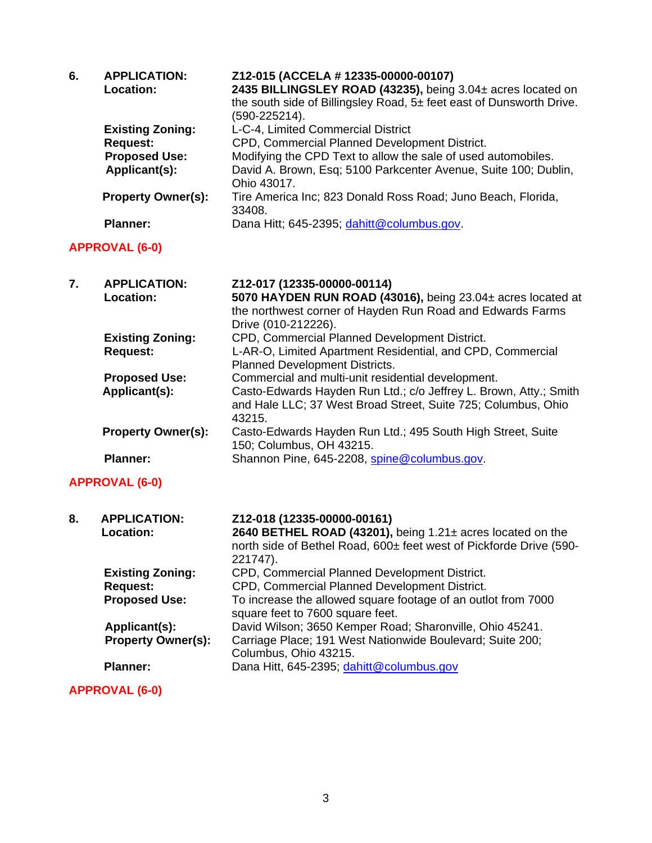| 6.                    | <b>APPLICATION:</b><br>Location:                                                    | Z12-015 (ACCELA # 12335-00000-00107)<br>2435 BILLINGSLEY ROAD (43235), being 3.04± acres located on<br>the south side of Billingsley Road, 5± feet east of Dunsworth Drive.<br>$(590 - 225214).$                                       |
|-----------------------|-------------------------------------------------------------------------------------|----------------------------------------------------------------------------------------------------------------------------------------------------------------------------------------------------------------------------------------|
|                       | <b>Existing Zoning:</b><br><b>Request:</b><br><b>Proposed Use:</b><br>Applicant(s): | L-C-4, Limited Commercial District<br>CPD, Commercial Planned Development District.<br>Modifying the CPD Text to allow the sale of used automobiles.<br>David A. Brown, Esq; 5100 Parkcenter Avenue, Suite 100; Dublin,<br>Ohio 43017. |
|                       | <b>Property Owner(s):</b>                                                           | Tire America Inc; 823 Donald Ross Road; Juno Beach, Florida,<br>33408.                                                                                                                                                                 |
|                       | <b>Planner:</b>                                                                     | Dana Hitt; 645-2395; dahitt@columbus.gov.                                                                                                                                                                                              |
|                       | <b>APPROVAL (6-0)</b>                                                               |                                                                                                                                                                                                                                        |
| 7.                    | <b>APPLICATION:</b><br><b>Location:</b>                                             | Z12-017 (12335-00000-00114)<br>5070 HAYDEN RUN ROAD (43016), being 23.04± acres located at<br>the northwest corner of Hayden Run Road and Edwards Farms<br>Drive (010-212226).                                                         |
|                       | <b>Existing Zoning:</b><br><b>Request:</b>                                          | CPD, Commercial Planned Development District.<br>L-AR-O, Limited Apartment Residential, and CPD, Commercial<br>Planned Development Districts.                                                                                          |
|                       | <b>Proposed Use:</b><br>Applicant(s):                                               | Commercial and multi-unit residential development.<br>Casto-Edwards Hayden Run Ltd.; c/o Jeffrey L. Brown, Atty.; Smith<br>and Hale LLC; 37 West Broad Street, Suite 725; Columbus, Ohio<br>43215.                                     |
|                       | <b>Property Owner(s):</b>                                                           | Casto-Edwards Hayden Run Ltd.; 495 South High Street, Suite<br>150; Columbus, OH 43215.                                                                                                                                                |
|                       | <b>Planner:</b>                                                                     | Shannon Pine, 645-2208, spine@columbus.gov.                                                                                                                                                                                            |
| <b>APPROVAL (6-0)</b> |                                                                                     |                                                                                                                                                                                                                                        |
| 8.                    | <b>APPLICATION:</b><br>Location:                                                    | Z12-018 (12335-00000-00161)<br>2640 BETHEL ROAD (43201), being 1.21± acres located on the<br>north side of Bethel Road, 600± feet west of Pickforde Drive (590-<br>221747).                                                            |
|                       | <b>Existing Zoning:</b><br><b>Request:</b><br><b>Proposed Use:</b>                  | CPD, Commercial Planned Development District.<br>CPD, Commercial Planned Development District.<br>To increase the allowed square footage of an outlot from 7000<br>square feet to 7600 square feet.                                    |
|                       | Applicant(s):<br><b>Property Owner(s):</b>                                          | David Wilson; 3650 Kemper Road; Sharonville, Ohio 45241.<br>Carriage Place; 191 West Nationwide Boulevard; Suite 200;<br>Columbus, Ohio 43215.                                                                                         |
|                       | <b>Planner:</b>                                                                     | Dana Hitt, 645-2395; dahitt@columbus.gov                                                                                                                                                                                               |